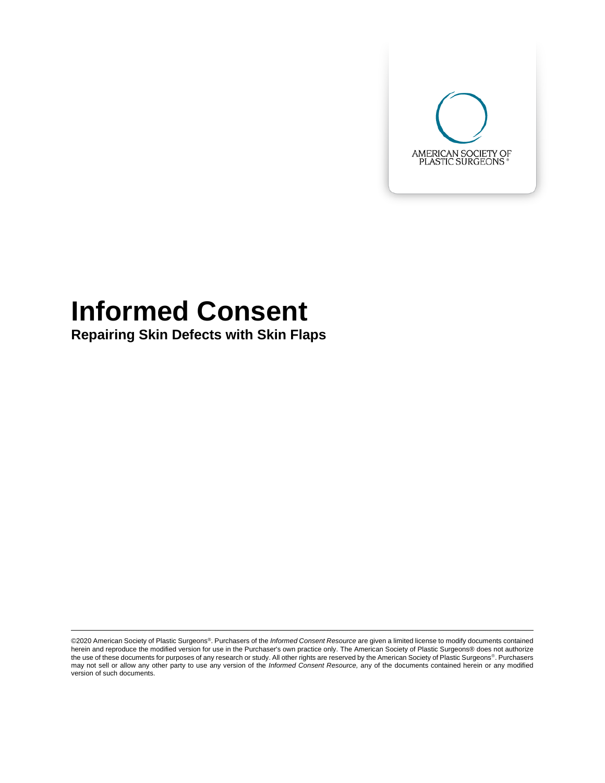

# **Informed Consent**

**Repairing Skin Defects with Skin Flaps**

©2020 American Society of Plastic Surgeons®. Purchasers of the *Informed Consent Resource* are given a limited license to modify documents contained herein and reproduce the modified version for use in the Purchaser's own practice only. The American Society of Plastic Surgeons® does not authorize the use of these documents for purposes of any research or study. All other rights are reserved by the American Society of Plastic Surgeons®. Purchasers may not sell or allow any other party to use any version of the *Informed Consent Resource,* any of the documents contained herein or any modified version of such documents.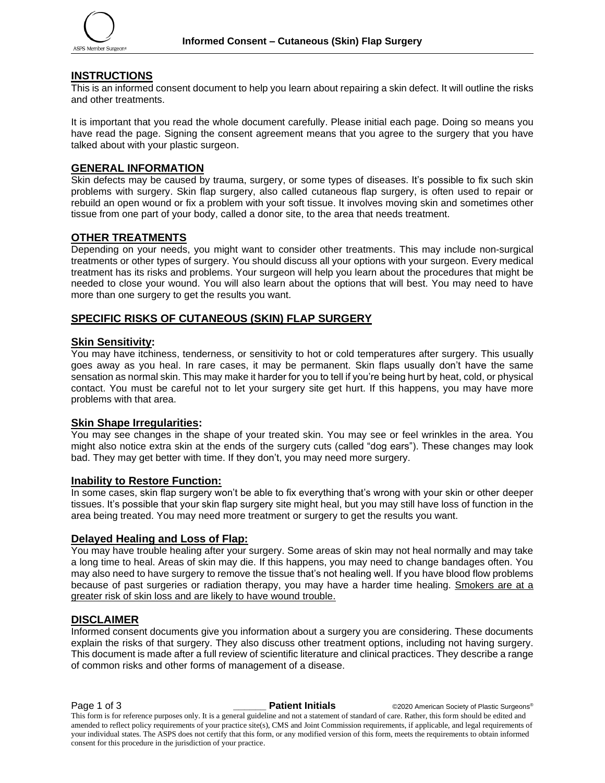

# **INSTRUCTIONS**

This is an informed consent document to help you learn about repairing a skin defect. It will outline the risks and other treatments.

It is important that you read the whole document carefully. Please initial each page. Doing so means you have read the page. Signing the consent agreement means that you agree to the surgery that you have talked about with your plastic surgeon.

# **GENERAL INFORMATION**

Skin defects may be caused by trauma, surgery, or some types of diseases. It's possible to fix such skin problems with surgery. Skin flap surgery, also called cutaneous flap surgery, is often used to repair or rebuild an open wound or fix a problem with your soft tissue. It involves moving skin and sometimes other tissue from one part of your body, called a donor site, to the area that needs treatment.

### **OTHER TREATMENTS**

Depending on your needs, you might want to consider other treatments. This may include non-surgical treatments or other types of surgery. You should discuss all your options with your surgeon. Every medical treatment has its risks and problems. Your surgeon will help you learn about the procedures that might be needed to close your wound. You will also learn about the options that will best. You may need to have more than one surgery to get the results you want.

# **SPECIFIC RISKS OF CUTANEOUS (SKIN) FLAP SURGERY**

#### **Skin Sensitivity:**

You may have itchiness, tenderness, or sensitivity to hot or cold temperatures after surgery. This usually goes away as you heal. In rare cases, it may be permanent. Skin flaps usually don't have the same sensation as normal skin. This may make it harder for you to tell if you're being hurt by heat, cold, or physical contact. You must be careful not to let your surgery site get hurt. If this happens, you may have more problems with that area.

# **Skin Shape Irregularities:**

You may see changes in the shape of your treated skin. You may see or feel wrinkles in the area. You might also notice extra skin at the ends of the surgery cuts (called "dog ears"). These changes may look bad. They may get better with time. If they don't, you may need more surgery.

#### **Inability to Restore Function:**

In some cases, skin flap surgery won't be able to fix everything that's wrong with your skin or other deeper tissues. It's possible that your skin flap surgery site might heal, but you may still have loss of function in the area being treated. You may need more treatment or surgery to get the results you want.

#### **Delayed Healing and Loss of Flap:**

You may have trouble healing after your surgery. Some areas of skin may not heal normally and may take a long time to heal. Areas of skin may die. If this happens, you may need to change bandages often. You may also need to have surgery to remove the tissue that's not healing well. If you have blood flow problems because of past surgeries or radiation therapy, you may have a harder time healing. Smokers are at a greater risk of skin loss and are likely to have wound trouble.

#### **DISCLAIMER**

Informed consent documents give you information about a surgery you are considering. These documents explain the risks of that surgery. They also discuss other treatment options, including not having surgery. This document is made after a full review of scientific literature and clinical practices. They describe a range of common risks and other forms of management of a disease.

**Page 1 of 3 \_\_\_\_\_\_\_ Patient Initials** ©2020 American Society of Plastic Surgeons®

This form is for reference purposes only. It is a general guideline and not a statement of standard of care. Rather, this form should be edited and amended to reflect policy requirements of your practice site(s), CMS and Joint Commission requirements, if applicable, and legal requirements of your individual states. The ASPS does not certify that this form, or any modified version of this form, meets the requirements to obtain informed consent for this procedure in the jurisdiction of your practice.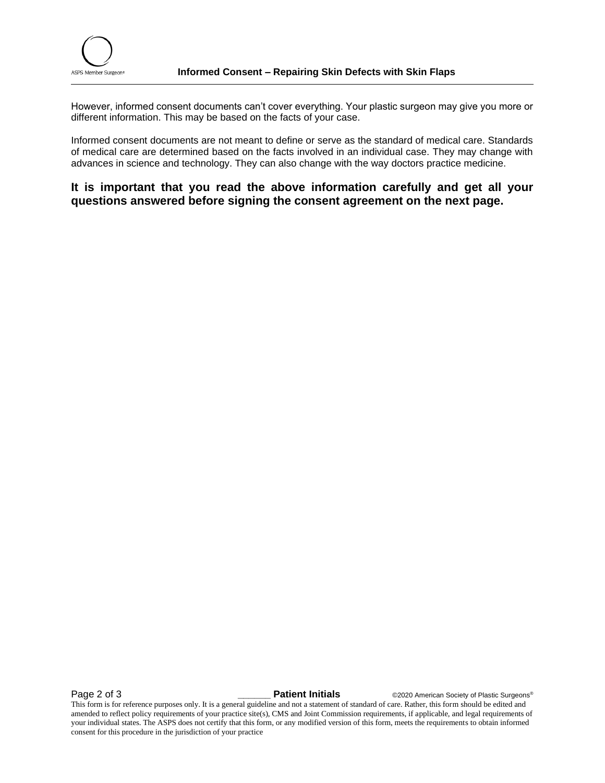However, informed consent documents can't cover everything. Your plastic surgeon may give you more or different information. This may be based on the facts of your case.

Informed consent documents are not meant to define or serve as the standard of medical care. Standards of medical care are determined based on the facts involved in an individual case. They may change with advances in science and technology. They can also change with the way doctors practice medicine.

**It is important that you read the above information carefully and get all your questions answered before signing the consent agreement on the next page.**

**Page 2 of 3** *Lacercy <b>Patient Initials* **C2020** American Society of Plastic Surgeons®

This form is for reference purposes only. It is a general guideline and not a statement of standard of care. Rather, this form should be edited and amended to reflect policy requirements of your practice site(s), CMS and Joint Commission requirements, if applicable, and legal requirements of your individual states. The ASPS does not certify that this form, or any modified version of this form, meets the requirements to obtain informed consent for this procedure in the jurisdiction of your practice